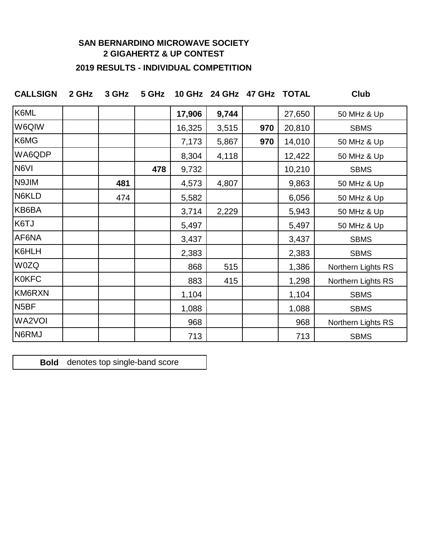## **SAN BERNARDINO MICROWAVE SOCIETY 2 GIGAHERTZ & UP CONTEST**

# **2019 RESULTS - INDIVIDUAL COMPETITION**

| CALLSIGN 2 GHz 3 GHz 5 GHz 10 GHz 24 GHz 47 GHz TOTAL |  |  |  | Club |
|-------------------------------------------------------|--|--|--|------|
|                                                       |  |  |  |      |

| K6ML              |     |     | 17,906 | 9,744 |     | 27,650 | 50 MHz & Up        |
|-------------------|-----|-----|--------|-------|-----|--------|--------------------|
| W6QIW             |     |     | 16,325 | 3,515 | 970 | 20,810 | <b>SBMS</b>        |
| K6MG              |     |     | 7,173  | 5,867 | 970 | 14,010 | 50 MHz & Up        |
| WA6QDP            |     |     | 8,304  | 4,118 |     | 12,422 | 50 MHz & Up        |
| N6VI              |     | 478 | 9,732  |       |     | 10,210 | <b>SBMS</b>        |
| N9JIM             | 481 |     | 4,573  | 4,807 |     | 9,863  | 50 MHz & Up        |
| N6KLD             | 474 |     | 5,582  |       |     | 6,056  | 50 MHz & Up        |
| KB6BA             |     |     | 3,714  | 2,229 |     | 5,943  | 50 MHz & Up        |
| K6TJ              |     |     | 5,497  |       |     | 5,497  | 50 MHz & Up        |
| AF6NA             |     |     | 3,437  |       |     | 3,437  | <b>SBMS</b>        |
| K6HLH             |     |     | 2,383  |       |     | 2,383  | <b>SBMS</b>        |
| W0ZQ              |     |     | 868    | 515   |     | 1,386  | Northern Lights RS |
| <b>K0KFC</b>      |     |     | 883    | 415   |     | 1,298  | Northern Lights RS |
| KM6RXN            |     |     | 1,104  |       |     | 1,104  | <b>SBMS</b>        |
| N <sub>5</sub> BF |     |     | 1,088  |       |     | 1,088  | <b>SBMS</b>        |
| WA2VOI            |     |     | 968    |       |     | 968    | Northern Lights RS |
| N6RMJ             |     |     | 713    |       |     | 713    | <b>SBMS</b>        |

**Bold** denotes top single-band score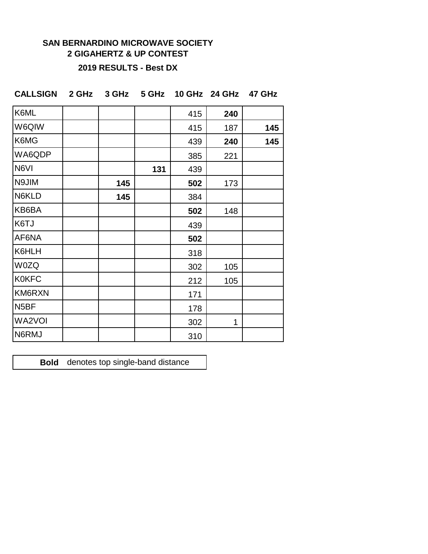# **SAN BERNARDINO MICROWAVE SOCIETY 2 GIGAHERTZ & UP CONTEST**

#### **2019 RESULTS - Best DX**

| K6ML              |     |     | 415 | 240 |     |
|-------------------|-----|-----|-----|-----|-----|
| W6QIW             |     |     | 415 | 187 | 145 |
| K6MG              |     |     | 439 | 240 | 145 |
| WA6QDP            |     |     | 385 | 221 |     |
| N6VI              |     | 131 | 439 |     |     |
| N9JIM             | 145 |     | 502 | 173 |     |
| N6KLD             | 145 |     | 384 |     |     |
| KB6BA             |     |     | 502 | 148 |     |
| K6TJ              |     |     | 439 |     |     |
| AF6NA             |     |     | 502 |     |     |
| K6HLH             |     |     | 318 |     |     |
| <b>W0ZQ</b>       |     |     | 302 | 105 |     |
| <b>K0KFC</b>      |     |     | 212 | 105 |     |
| KM6RXN            |     |     | 171 |     |     |
| N <sub>5</sub> BF |     |     | 178 |     |     |
| WA2VOI            |     |     | 302 | 1   |     |
| N6RMJ             |     |     | 310 |     |     |

**CALLSIGN 2 GHz 3 GHz 5 GHz 10 GHz 24 GHz 47 GHz**

**Bold** denotes top single-band distance